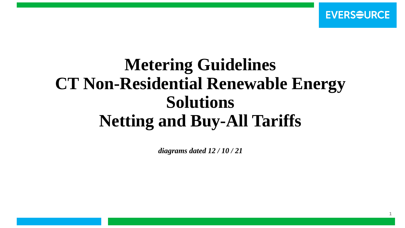# **Metering Guidelines CT Non-Residential Renewable Energy Solutions Netting and Buy-All Tariffs**

*diagrams dated 12 / 10 / 21*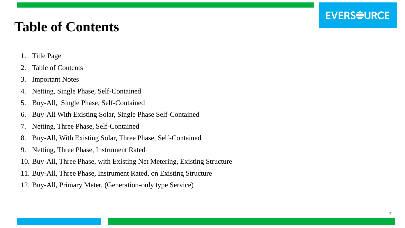## **Table of Contents**

- 1. Title Page
- 2. Table of Contents
- 3. Important Notes
- 4. Netting, Single Phase, Self-Contained
- 5. Buy-All, Single Phase, Self-Contained
- 6. Buy-All With Existing Solar, Single Phase Self-Contained
- 7. Netting, Three Phase, Self-Contained
- 8. Buy-All, With Existing Solar, Three Phase, Self-Contained
- 9. Netting, Three Phase, Instrument Rated
- 10. Buy-All, Three Phase, with Existing Net Metering, Existing Structure
- 11. Buy-All, Three Phase, Instrument Rated, on Existing Structure
- 12. Buy-All, Primary Meter, (Generation-only type Service)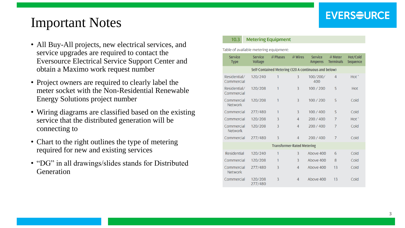### Important Notes

- All Buy-All projects, new electrical services, and service upgrades are required to contact the Eversource Electrical Service Support Center and obtain a Maximo work request number
- Project owners are required to clearly label the meter socket with the Non -Residential Renewable Energy Solutions project number
- Wiring diagrams are classified based on the existing service that the distributed generation will be connecting to
- Chart to the right outlines the type of metering required for new and existing services
- "DG" in all drawings/slides stands for Distributed **Generation**

#### **Metering Equipment**  $10.3$

Table of available metering equipment:

| <b>Service</b><br><b>Type</b>                        | <b>Service</b><br><b>Voltage</b> | $#$ Phases     | $#$ Wires      | <b>Service</b><br><b>Amperes</b> | $#$ Meter<br><b>Terminals</b> | Hot/Cold<br><b>Sequence</b> |
|------------------------------------------------------|----------------------------------|----------------|----------------|----------------------------------|-------------------------------|-----------------------------|
| Self-Contained Metering (320 A continuous and below) |                                  |                |                |                                  |                               |                             |
| Residential/<br>Commercial                           | 120/240                          | 1              | 3              | 100/200/<br>400                  | $\overline{4}$                | $Hot^*$                     |
| Residential/<br>Commercial                           | 120/208                          | 1              | 3              | 100 / 200                        | 5                             | <b>Hot</b>                  |
| Commercial<br><b>Network</b>                         | 120/208                          | 1              | 3              | 100 / 200                        | 5                             | Cold                        |
| Commercial                                           | 277/480                          | 1              | 3              | 100/400                          | 5                             | Cold                        |
| Commercial                                           | 120/208                          | $\overline{3}$ | $\overline{4}$ | 200 / 400                        | $\overline{7}$                | $Hot^*$                     |
| Commercial<br><b>Network</b>                         | 120/208                          | 3              | $\overline{4}$ | 200 / 400                        | $\overline{7}$                | Cold                        |
| Commercial                                           | 277/480                          | 3              | 4              | 200/400                          | $\overline{7}$                | Cold                        |
| <b>Transformer-Rated Metering</b>                    |                                  |                |                |                                  |                               |                             |
| <b>Residential</b>                                   | 120/240                          | 1              | 3              | Above 400                        | 6                             | Cold                        |
| Commercial                                           | 120/208                          | 1              | 3              | Above 400                        | 8                             | Cold                        |
| Commercial<br><b>Network</b>                         | 277/480                          | 3              | 4              | Above 400                        | 13                            | Cold                        |
| Commercial                                           | 120/208<br>277/480               | 3              | 4              | Above 400                        | 13                            | Cold                        |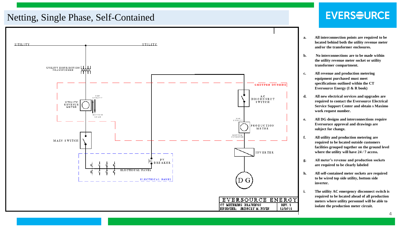#### Netting, Single Phase, Self-Contained



- **a. All interconnection points are required to be located behind both the utility revenue meter and/or the transformer enclosures.**
- **b. No interconnections are to be made within the utility revenue meter socket or utility transformer compartment.**
- **c. All revenue and production metering equipment purchased must meet specifications outlined within the CT Eversource Energy (I & R book)**
- **d. All new electrical services and upgrades are required to contact the Eversource Electrical Service Support Center and obtain s Maximo work request number.**
- **e. All DG designs and interconnections require Eversoruce approval and drawings are subject for change.**
- **f. All utility and production metering are required to be located outside customers facilities grouped together on the ground level where the utility will have 24 / 7 access.**
- **g. All meter's revenue and production sockets are required to be clearly labeled**
- **h. All self-contained meter sockets are required to be wired top side utility, bottom side inverter.**
- **i. The utility AC emergency disconnect switch is required to be located ahead of all production meters where utility personnel will be able to isolate the production meter circuit.**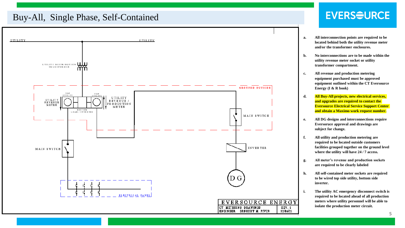#### Buy-All, Single Phase, Self-Contained



- **a. All interconnection points are required to be located behind both the utility revenue meter and/or the transformer enclosures.**
- **b. No interconnections are to be made within the utility revenue meter socket or utility transformer compartment.**
- **c. All revenue and production metering equipment purchased must be approved equipment outlined within the CT Eversource Energy (I & R book)**
- **d. All Buy-All projects, new electrical services, and upgrades are required to contact the Eversource Electrical Service Support Center and obtain a Maximo work request number.**
- **e. All DG designs and interconnections require Eversoruce approval and drawings are subject for change.**
- **f. All utility and production metering are required to be located outside customers facilities grouped together on the ground level where the utility will have 24 / 7 access.**
- **g. All meter's revenue and production sockets are required to be clearly labeled**
- **h. All self-contained meter sockets are required to be wired top side utility, bottom side inverter.**
- **i. The utility AC emergency disconnect switch is required to be located ahead of all production meters where utility personnel will be able to isolate the production meter circuit.**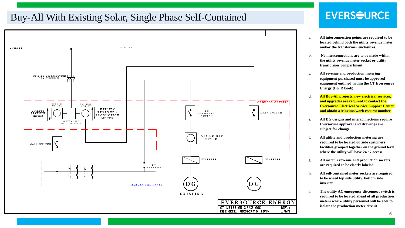#### Buy-All With Existing Solar, Single Phase Self-Contained



- **a. All interconnection points are required to be located behind both the utility revenue meter and/or the transformer enclosures.**
- **b. No interconnections are to be made within the utility revenue meter socket or utility transformer compartment.**
- **c. All revenue and production metering equipment purchased must be approved equipment outlined within the CT Eversource Energy (I & R book)**
- **d. All Buy-All projects, new electrical services, and upgrades are required to contact the Eversource Electrical Service Support Center and obtain a Maximo work request number.**
- **e. All DG designs and interconnections require Eversoruce approval and drawings are subject for change.**
- **f. All utility and production metering are required to be located outside customers facilities grouped together on the ground level where the utility will have 24 / 7 access.**
- **g. All meter's revenue and production sockets are required to be clearly labeled**
- **h. All self-contained meter sockets are required to be wired top side utility, bottom side inverter.**
- **i. The utility AC emergency disconnect switch is required to be located ahead of all production meters where utility personnel will be able to isolate the production meter circuit.**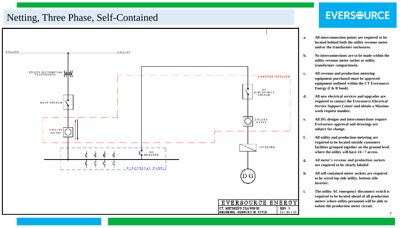#### Netting, Three Phase, Self-Contained



- **a. All interconnection points are required to be located behind both the utility revenue meter and/or the transformer enclosures.**
- **b. No interconnections are to be made within the utility revenue meter socket or utility transformer compartment.**
- **c. All revenue and production metering equipment purchased must be approved equipment outlined within the CT Eversource Energy (I & R book)**
- **d. All new electrical services and upgrades are required to contact the Eversource Electrical Service Support Center and obtain a Maximo work request number.**
- **e. All DG designs and interconnections require Eversoruce approval and drawings are subject for change.**
- **f. All utility and production metering are required to be located outside customers facilities grouped together on the ground level where the utility will have 24 / 7 access.**
- **g. All meter's revenue and production sockets are required to be clearly labeled**
- **h. All self-contained meter sockets are required to be wired top side utility, bottom side inverter.**
- **i. The utility AC emergency disconnect switch is required to be located ahead of all production meters where utility personnel will be able to isolate the production meter circuit.**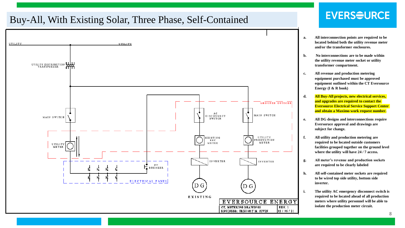#### Buy-All, With Existing Solar, Three Phase, Self-Contained



- **a. All interconnection points are required to be located behind both the utility revenue meter and/or the transformer enclosures.**
- **b. No interconnections are to be made within the utility revenue meter socket or utility transformer compartment.**
- **c. All revenue and production metering equipment purchased must be approved equipment outlined within the CT Eversource Energy (I & R book)**
- **d. All Buy-All projects, new electrical services, and upgrades are required to contact the Eversource Electrical Service Support Center and obtain a Maximo work request number.**
- **e. All DG designs and interconnections require Eversoruce approval and drawings are subject for change.**
- **f. All utility and production metering are required to be located outside customers facilities grouped together on the ground level where the utility will have 24 / 7 access.**
- **g. All meter's revenue and production sockets are required to be clearly labeled**
- **h. All self-contained meter sockets are required to be wired top side utility, bottom side inverter.**
- **i. The utility AC emergency disconnect switch is required to be located ahead of all production meters where utility personnel will be able to isolate the production meter circuit.**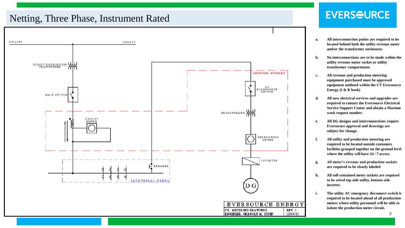#### Netting, Three Phase, Instrument Rated



- **a. All interconnection points are required to be located behind both the utility revenue meter and/or the transformer enclosures.**
- **b. No interconnections are to be made within the utility revenue meter socket or utility transformer compartment.**
- **c. All revenue and production metering equipment purchased must be approved equipment outlined within the CT Eversource Energy (I & R book)**
- **d. All new electrical services and upgrades are required to contact the Eversource Electrical Service Support Center and obtain a Maximo work request number.**
- **e. All DG designs and interconnections require Eversoruce approval and drawings are subject for change.**
- **f. All utility and production metering are required to be located outside customers facilities grouped together on the ground level where the utility will have 24 / 7 access.**
- **g. All meter's revenue and production sockets are required to be clearly labeled**
- **h. All self-contained meter sockets are required to be wired top side utility, bottom side inverter.**
- **i. The utility AC emergency disconnect switch is required to be located ahead of all production meters where utility personnel will be able to isolate the production meter circuit.**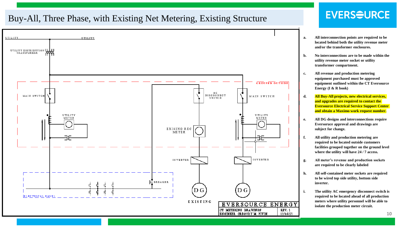#### Buy-All, Three Phase, with Existing Net Metering, Existing Structure



- **a. All interconnection points are required to be located behind both the utility revenue meter and/or the transformer enclosures.**
- **b. No interconnections are to be made within the utility revenue meter socket or utility transformer compartment.**
- **c. All revenue and production metering equipment purchased must be approved equipment outlined within the CT Eversource Energy (I & R book)**
- **d. All Buy-All projects, new electrical services, and upgrades are required to contact the Eversource Electrical Service Support Center and obtain a Maximo work request number.**
- **e. All DG designs and interconnections require Eversoruce approval and drawings are subject for change.**
- **f. All utility and production metering are required to be located outside customers facilities grouped together on the ground level where the utility will have 24 / 7 access.**
- **g. All meter's revenue and production sockets are required to be clearly labeled**
- **h. All self-contained meter sockets are required to be wired top side utility, bottom side inverter.**
- **i. The utility AC emergency disconnect switch is required to be located ahead of all production meters where utility personnel will be able to isolate the production meter circuit.**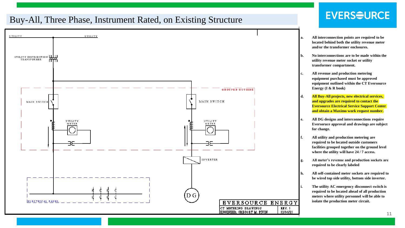#### Buy-All, Three Phase, Instrument Rated, on Existing Structure



- **a. All interconnection points are required to be located behind both the utility revenue meter and/or the transformer enclosures.**
- **b. No interconnections are to be made within the utility revenue meter socket or utility transformer compartment.**
- **c. All revenue and production metering equipment purchased must be approved equipment outlined within the CT Eversource Energy (I & R book)**
- **d. All Buy-All projects, new electrical services, and upgrades are required to contact the Eversource Electrical Service Support Center and obtain a Maximo work request number.**
- **e. All DG designs and interconnections require Eversoruce approval and drawings are subject for change.**
- **f. All utility and production metering are required to be located outside customers facilities grouped together on the ground level where the utility will have 24 / 7 access.**
- **g. All meter's revenue and production sockets are required to be clearly labeled**
- **h. All self-contained meter sockets are required to be wired top side utility, bottom side inverter.**
- **i. The utility AC emergency disconnect switch is required to be located ahead of all production meters where utility personnel will be able to isolate the production meter circuit.**